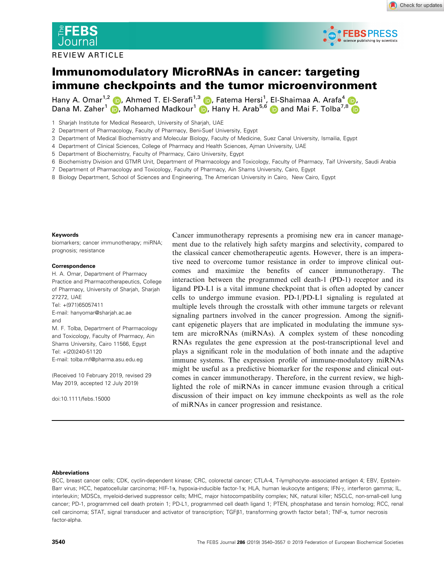

#### REVIEW ARTICLE



# Immunomodulatory MicroRNAs in cancer: targeting immune checkpoints and the tumor microenvironment

Hany A. Omar<sup>1,2</sup> (D, Ahmed T. El-Serafi<sup>1,3</sup> (D, Fatema Hersi<sup>1</sup>, El-Shaimaa A. Arafa<sup>4</sup> (D, Dana M. Zaher<sup>1</sup> (D, Mohamed Madkour<sup>1</sup> (D, Hany H. Arab<sup>5,6</sup> (D and Mai F. Tolba<sup>7,8</sup>

- 1 Sharjah Institute for Medical Research, University of Sharjah, UAE
- 2 Department of Pharmacology, Faculty of Pharmacy, Beni-Suef University, Egypt
- 3 Department of Medical Biochemistry and Molecular Biology, Faculty of Medicine, Suez Canal University, Ismailia, Egypt
- 4 Department of Clinical Sciences, College of Pharmacy and Health Sciences, Ajman University, UAE
- 5 Department of Biochemistry, Faculty of Pharmacy, Cairo University, Egypt
- 6 Biochemistry Division and GTMR Unit, Department of Pharmacology and Toxicology, Faculty of Pharmacy, Taif University, Saudi Arabia
- 7 Department of Pharmacology and Toxicology, Faculty of Pharmacy, Ain Shams University, Cairo, Egypt
- 8 Biology Department, School of Sciences and Engineering, The American University in Cairo, New Cairo, Egypt

#### Keywords

biomarkers; cancer immunotherapy; miRNA; prognosis; resistance

#### Correspondence

H. A. Omar, Department of Pharmacy Practice and Pharmacotherapeutics, College of Pharmacy, University of Sharjah, Sharjah 27272, UAE Tel: +(971)65057411 E-mail: hanyomar@sharjah.ac.ae and M. F. Tolba, Department of Pharmacology and Toxicology, Faculty of Pharmacy, Ain Shams University, Cairo 11566, Egypt Tel: +(20)240-51120 E-mail: tolba.mf@pharma.asu.edu.eg

(Received 10 February 2019, revised 29 May 2019, accepted 12 July 2019)

doi:10.1111/febs.15000

Cancer immunotherapy represents a promising new era in cancer management due to the relatively high safety margins and selectivity, compared to the classical cancer chemotherapeutic agents. However, there is an imperative need to overcome tumor resistance in order to improve clinical outcomes and maximize the benefits of cancer immunotherapy. The interaction between the programmed cell death-1 (PD-1) receptor and its ligand PD-L1 is a vital immune checkpoint that is often adopted by cancer cells to undergo immune evasion. PD-1/PD-L1 signaling is regulated at multiple levels through the crosstalk with other immune targets or relevant signaling partners involved in the cancer progression. Among the significant epigenetic players that are implicated in modulating the immune system are microRNAs (miRNAs). A complex system of these noncoding RNAs regulates the gene expression at the post-transcriptional level and plays a significant role in the modulation of both innate and the adaptive immune systems. The expression profile of immune-modulatory miRNAs might be useful as a predictive biomarker for the response and clinical outcomes in cancer immunotherapy. Therefore, in the current review, we highlighted the role of miRNAs in cancer immune evasion through a critical discussion of their impact on key immune checkpoints as well as the role of miRNAs in cancer progression and resistance.

#### Abbreviations

BCC, breast cancer cells; CDK, cyclin-dependent kinase; CRC, colorectal cancer; CTLA-4, T-lymphocyte–associated antigen 4; EBV, Epstein-Barr virus; HCC, hepatocellular carcinoma; HIF-1a, hypoxia-inducible factor-1a; HLA, human leukocyte antigens; IFN- $\gamma$ , interferon gamma; IL, interleukin; MDSCs, myeloid-derived suppressor cells; MHC, major histocompatibility complex; NK, natural killer; NSCLC, non-small-cell lung cancer; PD-1, programmed cell death protein 1; PD-L1, programmed cell death ligand 1; PTEN, phosphatase and tensin homolog; RCC, renal cell carcinoma; STAT, signal transducer and activator of transcription; TGFB1, transforming growth factor beta1; TNF- $\alpha$ , tumor necrosis factor-alpha.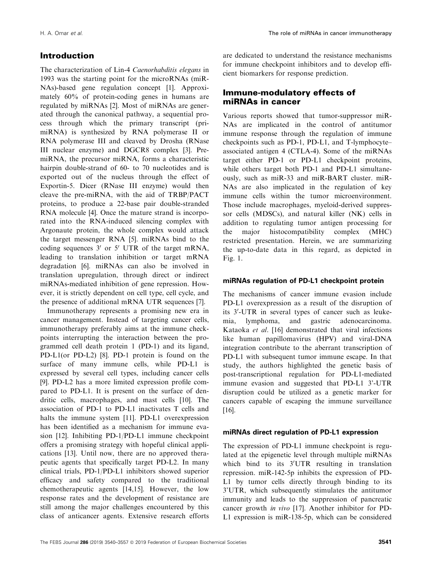# Introduction

The characterization of Lin-4 Caenorhabditis elegans in 1993 was the starting point for the microRNAs (miR-NAs)-based gene regulation concept [1]. Approximately 60% of protein-coding genes in humans are regulated by miRNAs [2]. Most of miRNAs are generated through the canonical pathway, a sequential process through which the primary transcript (primiRNA) is synthesized by RNA polymerase II or RNA polymerase III and cleaved by Drosha (RNase III nuclear enzyme) and DGCR8 complex [3]. PremiRNA, the precursor miRNA, forms a characteristic hairpin double-strand of 60- to 70 nucleotides and is exported out of the nucleus through the effect of Exportin-5. Dicer (RNase III enzyme) would then cleave the pre-miRNA, with the aid of TRBP/PACT proteins, to produce a 22-base pair double-stranded RNA molecule [4]. Once the mature strand is incorporated into the RNA-induced silencing complex with Argonaute protein, the whole complex would attack the target messenger RNA [5]. miRNAs bind to the coding sequences  $3'$  or  $5'$  UTR of the target mRNA, leading to translation inhibition or target mRNA degradation [6]. miRNAs can also be involved in translation upregulation, through direct or indirect miRNAs-mediated inhibition of gene repression. However, it is strictly dependent on cell type, cell cycle, and the presence of additional mRNA UTR sequences [7].

Immunotherapy represents a promising new era in cancer management. Instead of targeting cancer cells, immunotherapy preferably aims at the immune checkpoints interrupting the interaction between the programmed cell death protein 1 (PD-1) and its ligand, PD-L1(or PD-L2) [8]. PD-1 protein is found on the surface of many immune cells, while PD-L1 is expressed by several cell types, including cancer cells [9]. PD-L2 has a more limited expression profile compared to PD-L1. It is present on the surface of dendritic cells, macrophages, and mast cells [10]. The association of PD-1 to PD-L1 inactivates T cells and halts the immune system [11]. PD-L1 overexpression has been identified as a mechanism for immune evasion [12]. Inhibiting PD-1/PD-L1 immune checkpoint offers a promising strategy with hopeful clinical applications [13]. Until now, there are no approved therapeutic agents that specifically target PD-L2. In many clinical trials, PD-1/PD-L1 inhibitors showed superior efficacy and safety compared to the traditional chemotherapeutic agents [14,15]. However, the low response rates and the development of resistance are still among the major challenges encountered by this class of anticancer agents. Extensive research efforts

are dedicated to understand the resistance mechanisms for immune checkpoint inhibitors and to develop efficient biomarkers for response prediction.

# Immune-modulatory effects of miRNAs in cancer

Various reports showed that tumor-suppressor miR-NAs are implicated in the control of antitumor immune response through the regulation of immune checkpoints such as PD-1, PD-L1, and T-lymphocyte– associated antigen 4 (CTLA-4). Some of the miRNAs target either PD-1 or PD-L1 checkpoint proteins, while others target both PD-1 and PD-L1 simultaneously, such as miR-33 and miR-BART cluster. miR-NAs are also implicated in the regulation of key immune cells within the tumor microenvironment. Those include macrophages, myeloid-derived suppressor cells (MDSCs), and natural killer (NK) cells in addition to regulating tumor antigen processing for the major histocompatibility complex (MHC) restricted presentation. Herein, we are summarizing the up-to-date data in this regard, as depicted in Fig. 1.

## miRNAs regulation of PD-L1 checkpoint protein

The mechanisms of cancer immune evasion include PD-L1 overexpression as a result of the disruption of its 3'-UTR in several types of cancer such as leukemia, lymphoma, and gastric adenocarcinoma. Kataoka et al. [16] demonstrated that viral infections like human papillomavirus (HPV) and viral-DNA integration contribute to the aberrant transcription of PD-L1 with subsequent tumor immune escape. In that study, the authors highlighted the genetic basis of post-transcriptional regulation for PD-L1-mediated immune evasion and suggested that PD-L1 3'-UTR disruption could be utilized as a genetic marker for cancers capable of escaping the immune surveillance [16].

## miRNAs direct regulation of PD-L1 expression

The expression of PD-L1 immune checkpoint is regulated at the epigenetic level through multiple miRNAs which bind to its  $3'UTR$  resulting in translation repression. miR-142-5p inhibits the expression of PD-L1 by tumor cells directly through binding to its 3'UTR, which subsequently stimulates the antitumor immunity and leads to the suppression of pancreatic cancer growth in vivo [17]. Another inhibitor for PD-L1 expression is miR-138-5p, which can be considered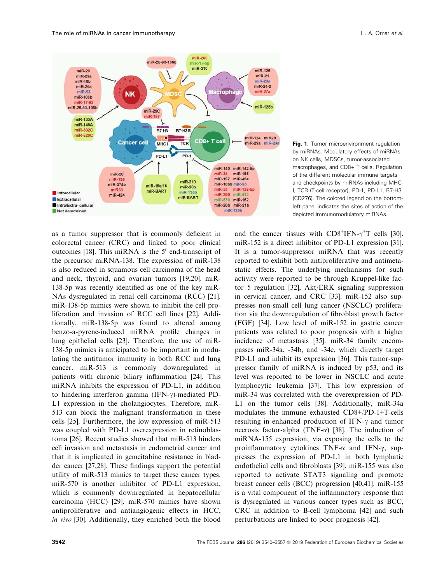

Fig. 1. Tumor microenvironment regulation by miRNAs. Modulatory effects of miRNAs on NK cells, MDSCs, tumor-associated macrophages, and CD8+ T cells. Regulation of the different molecular immune targets and checkpoints by miRNAs including MHC-I, TCR (T-cell receptor), PD-1, PD-L1, B7-H3 (CD276). The colored legend on the bottomleft panel indicates the sites of action of the depicted immunomodulatory miRNAs.

as a tumor suppressor that is commonly deficient in colorectal cancer (CRC) and linked to poor clinical outcomes [18]. This miRNA is the 5' end-transcript of the precursor miRNA-138. The expression of miR-138 is also reduced in squamous cell carcinoma of the head and neck, thyroid, and ovarian tumors [19,20]. miR-138-5p was recently identified as one of the key miR-NAs dysregulated in renal cell carcinoma (RCC) [21]. miR-138-5p mimics were shown to inhibit the cell proliferation and invasion of RCC cell lines [22]. Additionally, miR-138-5p was found to altered among benzo-a-pyrene-induced miRNA profile changes in lung epithelial cells [23]. Therefore, the use of miR-138-5p mimics is anticipated to be important in modulating the antitumor immunity in both RCC and lung cancer. miR-513 is commonly downregulated in patients with chronic biliary inflammation [24]. This miRNA inhibits the expression of PD-L1, in addition to hindering interferon gamma  $(IFN-\gamma)$ -mediated PD-L1 expression in the cholangiocytes. Therefore, miR-513 can block the malignant transformation in these cells [25]. Furthermore, the low expression of miR-513 was coupled with PD-L1 overexpression in retinoblastoma [26]. Recent studies showed that miR-513 hinders cell invasion and metastasis in endometrial cancer and that it is implicated in gemcitabine resistance in bladder cancer [27,28]. These findings support the potential utility of miR-513 mimics to target these cancer types. miR-570 is another inhibitor of PD-L1 expression, which is commonly downregulated in hepatocellular carcinoma (HCC) [29]. miR-570 mimics have shown antiproliferative and antiangiogenic effects in HCC, in vivo [30]. Additionally, they enriched both the blood

and the cancer tissues with  $CD8^+$ IFN- $\gamma^+$ T cells [30]. miR-152 is a direct inhibitor of PD-L1 expression [31]. It is a tumor-suppressor miRNA that was recently reported to exhibit both antiproliferative and antimetastatic effects. The underlying mechanisms for such activity were reported to be through Kruppel-like factor 5 regulation [32], Akt/ERK signaling suppression in cervical cancer, and CRC [33]. miR-152 also suppresses non-small cell lung cancer (NSCLC) proliferation via the downregulation of fibroblast growth factor (FGF) [34]. Low level of miR-152 in gastric cancer patients was related to poor prognosis with a higher incidence of metastasis [35]. miR-34 family encompasses miR-34a, -34b, and -34c, which directly target PD-L1 and inhibit its expression [36]. This tumor-suppressor family of miRNA is induced by p53, and its level was reported to be lower in NSCLC and acute lymphocytic leukemia [37]. This low expression of miR-34 was correlated with the overexpression of PD-L1 on the tumor cells [38]. Additionally, miR-34a modulates the immune exhausted CD8+/PD-1+T-cells resulting in enhanced production of IFN- $\gamma$  and tumor necrosis factor-alpha (TNF- $\alpha$ ) [38]. The induction of miRNA-155 expression, via exposing the cells to the proinflammatory cytokines  $TNF-\alpha$  and  $IFN-\gamma$ , suppresses the expression of PD-L1 in both lymphatic endothelial cells and fibroblasts [39]. miR-155 was also reported to activate STAT3 signaling and promote breast cancer cells (BCC) progression [40,41]. miR-155 is a vital component of the inflammatory response that is dysregulated in various cancer types such as BCC, CRC in addition to B-cell lymphoma [42] and such perturbations are linked to poor prognosis [42].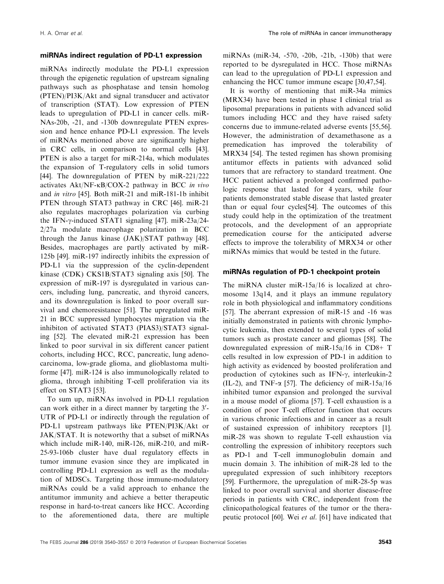#### miRNAs indirect regulation of PD-L1 expression

miRNAs indirectly modulate the PD-L1 expression through the epigenetic regulation of upstream signaling pathways such as phosphatase and tensin homolog (PTEN)/PI3K/Akt and signal transducer and activator of transcription (STAT). Low expression of PTEN leads to upregulation of PD-L1 in cancer cells. miR-NAs-20b, -21, and -130b downregulate PTEN expression and hence enhance PD-L1 expression. The levels of miRNAs mentioned above are significantly higher in CRC cells, in comparison to normal cells [43]. PTEN is also a target for miR-214a, which modulates the expansion of T-regulatory cells in solid tumors [44]. The downregulation of PTEN by miR-221/222 activates  $Akt/NF-\kappa B/COX-2$  pathway in BCC in vivo and in vitro [45]. Both miR-21 and miR-181-1b inhibit PTEN through STAT3 pathway in CRC [46]. miR-21 also regulates macrophages polarization via curbing the IFN- $\gamma$ -induced STAT1 signaling [47]. miR-23a/24-2/27a modulate macrophage polarization in BCC through the Janus kinase (JAK)/STAT pathway [48]. Besides, macrophages are partly activated by miR-125b [49]. miR-197 indirectly inhibits the expression of PD-L1 via the suppression of the cyclin-dependent kinase (CDK) CKS1B/STAT3 signaling axis [50]. The expression of miR-197 is dysregulated in various cancers, including lung, pancreatic, and thyroid cancers, and its downregulation is linked to poor overall survival and chemoresistance [51]. The upregulated miR-21 in BCC suppressed lymphocytes migration via the inhibiton of activated STAT3 (PIAS3)/STAT3 signaling [52]. The elevated miR-21 expression has been linked to poor survival in six different cancer patient cohorts, including HCC, RCC, pancreatic, lung adenocarcinoma, low-grade glioma, and glioblastoma multiforme [47]. miR-124 is also immunologically related to glioma, through inhibiting T-cell proliferation via its effect on STAT3 [53].

To sum up, miRNAs involved in PD-L1 regulation can work either in a direct manner by targeting the 3'-UTR of PD-L1 or indirectly through the regulation of PD-L1 upstream pathways like PTEN/PI3K/Akt or JAK/STAT. It is noteworthy that a subset of miRNAs which include miR-140, miR-126, miR-210, and miR-25-93-106b cluster have dual regulatory effects in tumor immune evasion since they are implicated in controlling PD-L1 expression as well as the modulation of MDSCs. Targeting those immune-modulatory miRNAs could be a valid approach to enhance the antitumor immunity and achieve a better therapeutic response in hard-to-treat cancers like HCC. According to the aforementioned data, there are multiple

miRNAs (miR-34, -570, -20b, -21b, -130b) that were reported to be dysregulated in HCC. Those miRNAs can lead to the upregulation of PD-L1 expression and enhancing the HCC tumor immune escape [30,47,54].

It is worthy of mentioning that miR-34a mimics (MRX34) have been tested in phase I clinical trial as liposomal preparations in patients with advanced solid tumors including HCC and they have raised safety concerns due to immune-related adverse events [55,56]. However, the administration of dexamethasone as a premedication has improved the tolerability of MRX34 [54]. The tested regimen has shown promising antitumor effects in patients with advanced solid tumors that are refractory to standard treatment. One HCC patient achieved a prolonged confirmed pathologic response that lasted for 4 years, while four patients demonstrated stable disease that lasted greater than or equal four cycles[54]. The outcomes of this study could help in the optimization of the treatment protocols, and the development of an appropriate premedication course for the anticipated adverse effects to improve the tolerability of MRX34 or other miRNAs mimics that would be tested in the future.

#### miRNAs regulation of PD-1 checkpoint protein

The miRNA cluster miR-15a/16 is localized at chromosome 13q14, and it plays an immune regulatory role in both physiological and inflammatory conditions [57]. The aberrant expression of miR-15 and -16 was initially demonstrated in patients with chronic lymphocytic leukemia, then extended to several types of solid tumors such as prostate cancer and gliomas [58]. The downregulated expression of miR-15a/16 in CD8+ T cells resulted in low expression of PD-1 in addition to high activity as evidenced by boosted proliferation and production of cytokines such as IFN- $\gamma$ , interleukin-2 (IL-2), and TNF- $\alpha$  [57]. The deficiency of miR-15a/16 inhibited tumor expansion and prolonged the survival in a mouse model of glioma [57]. T-cell exhaustion is a condition of poor T-cell effector function that occurs in various chronic infections and in cancer as a result of sustained expression of inhibitory receptors [1]. miR-28 was shown to regulate T-cell exhaustion via controlling the expression of inhibitory receptors such as PD-1 and T-cell immunoglobulin domain and mucin domain 3. The inhibition of miR-28 led to the upregulated expression of such inhibitory receptors [59]. Furthermore, the upregulation of miR-28-5p was linked to poor overall survival and shorter disease-free periods in patients with CRC, independent from the clinicopathological features of the tumor or the therapeutic protocol [60]. Wei et al. [61] have indicated that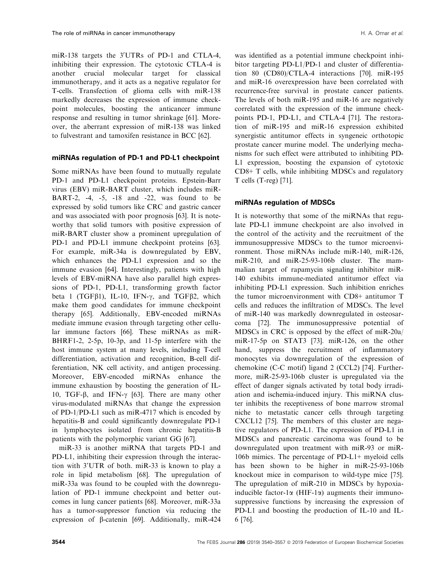miR-138 targets the  $3'UTRs$  of PD-1 and CTLA-4, inhibiting their expression. The cytotoxic CTLA-4 is another crucial molecular target for classical immunotherapy, and it acts as a negative regulator for T-cells. Transfection of glioma cells with miR-138 markedly decreases the expression of immune checkpoint molecules, boosting the anticancer immune response and resulting in tumor shrinkage [61]. Moreover, the aberrant expression of miR-138 was linked to fulvestrant and tamoxifen resistance in BCC [62].

#### miRNAs regulation of PD-1 and PD-L1 checkpoint

Some miRNAs have been found to mutually regulate PD-1 and PD-L1 checkpoint proteins. Epstein-Barr virus (EBV) miR-BART cluster, which includes miR-BART-2, -4, -5, -18 and -22, was found to be expressed by solid tumors like CRC and gastric cancer and was associated with poor prognosis [63]. It is noteworthy that solid tumors with positive expression of miR-BART cluster show a prominent upregulation of PD-1 and PD-L1 immune checkpoint proteins [63]. For example, miR-34a is downregulated by EBV, which enhances the PD-L1 expression and so the immune evasion [64]. Interestingly, patients with high levels of EBV-miRNA have also parallel high expressions of PD-1, PD-L1, transforming growth factor beta 1 (TGF $\beta$ 1), IL-10, IFN- $\gamma$ , and TGF $\beta$ 2, which make them good candidates for immune checkpoint therapy [65]. Additionally, EBV-encoded miRNAs mediate immune evasion through targeting other cellular immune factors [66]. These miRNAs as miR-BHRF1-2, 2-5p, 10-3p, and 11-5p interfere with the host immune system at many levels, including T-cell differentiation, activation and recognition, B-cell differentiation, NK cell activity, and antigen processing. Moreover, EBV-encoded miRNAs enhance the immune exhaustion by boosting the generation of IL-10, TGF-β, and IFN- $\gamma$  [63]. There are many other virus-modulated miRNAs that change the expression of PD-1/PD-L1 such as miR-4717 which is encoded by hepatitis-B and could significantly downregulate PD-1 in lymphocytes isolated from chronic hepatitis-B patients with the polymorphic variant GG [67].

miR-33 is another miRNA that targets PD-1 and PD-L1, inhibiting their expression through the interaction with 3'UTR of both. miR-33 is known to play a role in lipid metabolism [68]. The upregulation of miR-33a was found to be coupled with the downregulation of PD-1 immune checkpoint and better outcomes in lung cancer patients [68]. Moreover, miR-33a has a tumor-suppressor function via reducing the expression of  $\beta$ -catenin [69]. Additionally, miR-424

was identified as a potential immune checkpoint inhibitor targeting PD-L1/PD-1 and cluster of differentiation 80 (CD80)/CTLA-4 interactions [70]. miR-195 and miR-16 overexpression have been correlated with recurrence-free survival in prostate cancer patients. The levels of both miR-195 and miR-16 are negatively correlated with the expression of the immune checkpoints PD-1, PD-L1, and CTLA-4 [71]. The restoration of miR-195 and miR-16 expression exhibited synergistic antitumor effects in syngeneic orthotopic prostate cancer murine model. The underlying mechanisms for such effect were attributed to inhibiting PD-L1 expression, boosting the expansion of cytotoxic CD8+ T cells, while inhibiting MDSCs and regulatory T cells (T-reg) [71].

#### miRNAs regulation of MDSCs

It is noteworthy that some of the miRNAs that regulate PD-L1 immune checkpoint are also involved in the control of the activity and the recruitment of the immunosuppressive MDSCs to the tumor microenvironment. Those miRNAs include miR-140, miR-126, miR-210, and miR-25-93-106b cluster. The mammalian target of rapamycin signaling inhibitor miR-140 exhibits immune-mediated antitumor effect via inhibiting PD-L1 expression. Such inhibition enriches the tumor microenvironment with CD8+ antitumor T cells and reduces the infiltration of MDSCs. The level of miR-140 was markedly downregulated in osteosarcoma [72]. The immunosuppressive potential of MDSCs in CRC is opposed by the effect of miR-20a/ miR-17-5p on STAT3 [73]. miR-126, on the other hand, suppress the recruitment of inflammatory monocytes via downregulation of the expression of chemokine (C-C motif) ligand 2 (CCL2) [74]. Furthermore, miR-25-93-106b cluster is upregulated via the effect of danger signals activated by total body irradiation and ischemia-induced injury. This miRNA cluster inhibits the receptiveness of bone marrow stromal niche to metastatic cancer cells through targeting CXCL12 [75]. The members of this cluster are negative regulators of PD-L1. The expression of PD-L1 in MDSCs and pancreatic carcinoma was found to be downregulated upon treatment with miR-93 or miR-106b mimics. The percentage of PD-L1+ myeloid cells has been shown to be higher in miR-25-93-106b knockout mice in comparison to wild-type mice [75]. The upregulation of miR-210 in MDSCs by hypoxiainducible factor-1 $\alpha$  (HIF-1 $\alpha$ ) augments their immunosuppressive functions by increasing the expression of PD-L1 and boosting the production of IL-10 and IL-6 [76].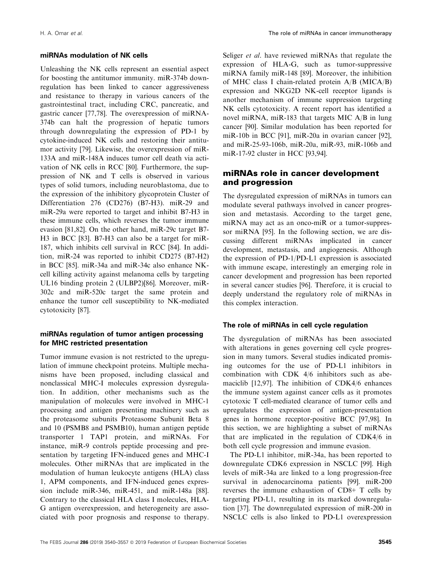#### miRNAs modulation of NK cells

Unleashing the NK cells represent an essential aspect for boosting the antitumor immunity. miR-374b downregulation has been linked to cancer aggressiveness and resistance to therapy in various cancers of the gastrointestinal tract, including CRC, pancreatic, and gastric cancer [77,78]. The overexpression of miRNA-374b can halt the progression of hepatic tumors through downregulating the expression of PD-1 by cytokine-induced NK cells and restoring their antitumor activity [79]. Likewise, the overexpression of miR-133A and miR-148A induces tumor cell death via activation of NK cells in RCC [80]. Furthermore, the suppression of NK and T cells is observed in various types of solid tumors, including neuroblastoma, due to the expression of the inhibitory glycoprotein Cluster of Differentiation 276 (CD276) (B7-H3). miR-29 and miR-29a were reported to target and inhibit B7-H3 in these immune cells, which reverses the tumor immune evasion [81,82]. On the other hand, miR-29c target B7- H3 in BCC [83]. B7-H3 can also be a target for miR-187, which inhibits cell survival in RCC [84]. In addition, miR-24 was reported to inhibit CD275 (B7-H2) in BCC [85]. miR-34a and miR-34c also enhance NKcell killing activity against melanoma cells by targeting UL16 binding protein 2 (ULBP2)[86]. Moreover, miR-302c and miR-520c target the same protein and enhance the tumor cell susceptibility to NK-mediated cytotoxicity [87].

#### miRNAs regulation of tumor antigen processing for MHC restricted presentation

Tumor immune evasion is not restricted to the upregulation of immune checkpoint proteins. Multiple mechanisms have been proposed, including classical and nonclassical MHC-I molecules expression dysregulation. In addition, other mechanisms such as the manipulation of molecules were involved in MHC-1 processing and antigen presenting machinery such as the proteasome subunits Proteasome Subunit Beta 8 and 10 (PSMB8 and PSMB10), human antigen peptide transporter 1 TAP1 protein, and miRNAs. For instance, miR-9 controls peptide processing and presentation by targeting IFN-induced genes and MHC-I molecules. Other miRNAs that are implicated in the modulation of human leukocyte antigens (HLA) class 1, APM components, and IFN-induced genes expression include miR-346, miR-451, and miR-148a [88]. Contrary to the classical HLA class I molecules, HLA-G antigen overexpression, and heterogeneity are associated with poor prognosis and response to therapy. Seliger et al. have reviewed miRNAs that regulate the expression of HLA-G, such as tumor-suppressive miRNA family miR-148 [89]. Moreover, the inhibition of MHC class I chain-related protein A/B (MICA/B) expression and NKG2D NK-cell receptor ligands is another mechanism of immune suppression targeting NK cells cytotoxicity. A recent report has identified a novel miRNA, miR-183 that targets MIC A/B in lung cancer [90]. Similar modulation has been reported for miR-10b in BCC [91], miR-20a in ovarian cancer [92], and miR-25-93-106b, miR-20a, miR-93, miR-106b and miR-17-92 cluster in HCC [93,94].

## miRNAs role in cancer development and progression

The dysregulated expression of miRNAs in tumors can modulate several pathways involved in cancer progression and metastasis. According to the target gene, miRNA may act as an onco-miR or a tumor-suppressor miRNA [95]. In the following section, we are discussing different miRNAs implicated in cancer development, metastasis, and angiogenesis. Although the expression of PD-1/PD-L1 expression is associated with immune escape, interestingly an emerging role in cancer development and progression has been reported in several cancer studies [96]. Therefore, it is crucial to deeply understand the regulatory role of miRNAs in this complex interaction.

#### The role of miRNAs in cell cycle regulation

The dysregulation of miRNAs has been associated with alterations in genes governing cell cycle progression in many tumors. Several studies indicated promising outcomes for the use of PD-L1 inhibitors in combination with CDK 4/6 inhibitors such as abemaciclib [12,97]. The inhibition of CDK4/6 enhances the immune system against cancer cells as it promotes cytotoxic T cell-mediated clearance of tumor cells and upregulates the expression of antigen-presentation genes in hormone receptor-positive BCC [97,98]. In this section, we are highlighting a subset of miRNAs that are implicated in the regulation of CDK4/6 in both cell cycle progression and immune evasion.

The PD-L1 inhibitor, miR-34a, has been reported to downregulate CDK6 expression in NSCLC [99]. High levels of miR-34a are linked to a long progression-free survival in adenocarcinoma patients [99]. miR-200 reverses the immune exhaustion of CD8+ T cells by targeting PD-L1, resulting in its marked downregulation [37]. The downregulated expression of miR-200 in NSCLC cells is also linked to PD-L1 overexpression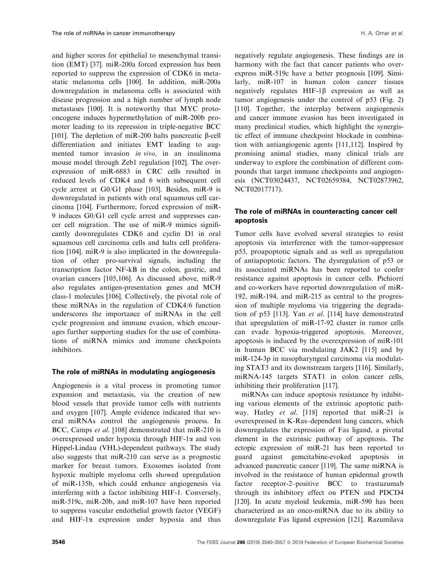and higher scores for epithelial to mesenchymal transition (EMT) [37]. miR-200a forced expression has been reported to suppress the expression of CDK6 in metastatic melanoma cells [100]. In addition, miR-200a downregulation in melanoma cells is associated with disease progression and a high number of lymph node metastases [100]. It is noteworthy that MYC protooncogene induces hypermethylation of miR-200b promoter leading to its repression in triple-negative BCC [101]. The depletion of miR-200 halts pancreatic  $\beta$ -cell differentiation and initiates EMT leading to augmented tumor invasion in vivo, in an insulinoma mouse model through Zeb1 regulation [102]. The overexpression of miR-6883 in CRC cells resulted in reduced levels of CDK4 and 6 with subsequent cell cycle arrest at G0/G1 phase [103]. Besides, miR-9 is downregulated in patients with oral squamous cell carcinoma [104]. Furthermore, forced expression of miR-9 induces G0/G1 cell cycle arrest and suppresses cancer cell migration. The use of miR-9 mimics significantly downregulates CDK6 and cyclin D1 in oral squamous cell carcinoma cells and halts cell proliferation [104]. miR-9 is also implicated in the downregulation of other pro-survival signals, including the transcription factor NF-kB in the colon, gastric, and ovarian cancers [105,106]. As discussed above, miR-9 also regulates antigen-presentation genes and MCH class-1 molecules [106]. Collectively, the pivotal role of these miRNAs in the regulation of CDK4/6 function underscores the importance of miRNAs in the cell cycle progression and immune evasion, which encourages further supporting studies for the use of combinations of miRNA mimics and immune checkpoints inhibitors.

#### The role of miRNAs in modulating angiogenesis

Angiogenesis is a vital process in promoting tumor expansion and metastasis, via the creation of new blood vessels that provide tumor cells with nutrients and oxygen [107]. Ample evidence indicated that several miRNAs control the angiogenesis process. In BCC, Camps et al. [108] demonstrated that miR-210 is overexpressed under hypoxia through HIF-1a and von Hippel-Lindau (VHL)-dependent pathways. The study also suggests that miR-210 can serve as a prognostic marker for breast tumors. Exosomes isolated from hypoxic multiple myeloma cells showed upregulation of miR-135b, which could enhance angiogenesis via interfering with a factor inhibiting HIF-1. Conversely, miR-519c, miR-20b, and miR-107 have been reported to suppress vascular endothelial growth factor (VEGF) and  $HIF-I\alpha$  expression under hypoxia and thus

negatively regulate angiogenesis. These findings are in harmony with the fact that cancer patients who overexpress miR-519c have a better prognosis [109]. Similarly, miR-107 in human colon cancer tissues negatively regulates HIF-1<sup>B</sup> expression as well as tumor angiogenesis under the control of p53 (Fig. 2) [110]. Together, the interplay between angiogenesis and cancer immune evasion has been investigated in many preclinical studies, which highlight the synergistic effect of immune checkpoint blockade in combination with antiangiogenic agents [111,112]. Inspired by promising animal studies, many clinical trials are underway to explore the combination of different compounds that target immune checkpoints and angiogenesis (NCT03024437, NCT02659384, NCT02873962, NCT02017717).

#### The role of miRNAs in counteracting cancer cell apoptosis

Tumor cells have evolved several strategies to resist apoptosis via interference with the tumor-suppressor p53, proapoptotic signals and as well as upregulation of antiapoptotic factors. The dysregulation of p53 or its associated miRNAs has been reported to confer resistance against apoptosis in cancer cells. Pichiorri and co-workers have reported downregulation of miR-192, miR-194, and miR-215 as central to the progression of multiple myeloma via triggering the degradation of p53 [113]. Yan et al. [114] have demonstrated that upregulation of miR-17-92 cluster in tumor cells can evade hypoxia-triggered apoptosis. Moreover, apoptosis is induced by the overexpression of miR-101 in human BCC via modulating JAK2 [115] and by miR-124-3p in nasopharyngeal carcinoma via modulating STAT3 and its downstream targets [116]. Similarly, miRNA-145 targets STAT1 in colon cancer cells, inhibiting their proliferation [117].

miRNAs can induce apoptosis resistance by inhibiting various elements of the extrinsic apoptotic pathway. Hatley *et al.* [118] reported that miR-21 is overexpressed in K-Ras–dependent lung cancers, which downregulates the expression of Fas ligand, a pivotal element in the extrinsic pathway of apoptosis. The ectopic expression of miR-21 has been reported to guard against gemcitabine-evoked apoptosis in advanced pancreatic cancer [119]. The same miRNA is involved in the resistance of human epidermal growth factor receptor-2–positive BCC to trastuzumab through its inhibitory effect on PTEN and PDCD4 [120]. In acute myeloid leukemia, miR-590 has been characterized as an onco-miRNA due to its ability to downregulate Fas ligand expression [121]. Razumilava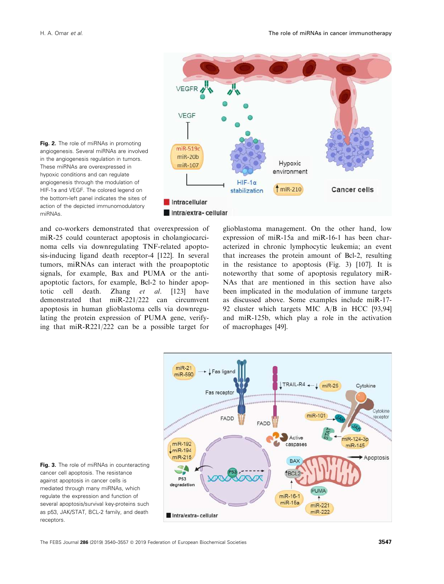

Fig. 2. The role of miRNAs in promoting angiogenesis. Several miRNAs are involved in the angiogenesis regulation in tumors. These miRNAs are overexpressed in hypoxic conditions and can regulate angiogenesis through the modulation of HIF-1a and VEGF. The colored legend on the bottom-left panel indicates the sites of action of the depicted immunomodulatory miRNAs.

and co-workers demonstrated that overexpression of miR-25 could counteract apoptosis in cholangiocarcinoma cells via downregulating TNF-related apoptosis-inducing ligand death receptor-4 [122]. In several tumors, miRNAs can interact with the proapoptotic signals, for example, Bax and PUMA or the antiapoptotic factors, for example, Bcl-2 to hinder apoptotic cell death. Zhang et al. [123] have demonstrated that miR-221/222 can circumvent apoptosis in human glioblastoma cells via downregulating the protein expression of PUMA gene, verifying that miR-R221/222 can be a possible target for

glioblastoma management. On the other hand, low expression of miR-15a and miR-16-1 has been characterized in chronic lymphocytic leukemia; an event that increases the protein amount of Bcl-2, resulting in the resistance to apoptosis (Fig. 3) [107]. It is noteworthy that some of apoptosis regulatory miR-NAs that are mentioned in this section have also been implicated in the modulation of immune targets as discussed above. Some examples include miR-17- 92 cluster which targets MIC A/B in HCC [93,94] and miR-125b, which play a role in the activation of macrophages [49].



Fig. 3. The role of miRNAs in counteracting cancer cell apoptosis. The resistance against apoptosis in cancer cells is mediated through many miRNAs, which regulate the expression and function of several apoptosis/survival key-proteins such as p53, JAK/STAT, BCL-2 family, and death receptors.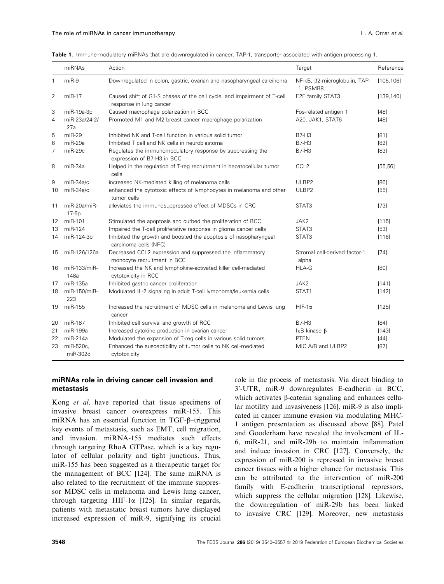|                   | miRNAs                  | Action                                                                                             | Target                                                 | Reference  |
|-------------------|-------------------------|----------------------------------------------------------------------------------------------------|--------------------------------------------------------|------------|
| $\mathbf{1}$      | $miR-9$                 | Downregulated in colon, gastric, ovarian and nasopharyngeal carcinoma                              | NF-kB, β2-microglobulin, TAP-<br>1, PSMB8              | [105, 106] |
| $\overline{2}$    | $miR-17$                | Caused shift of G1-S phases of the cell cycle. and impairment of T-cell<br>response in lung cancer | E2F family STAT3                                       | [139, 140] |
| 3                 | miR-19a-3p              | Caused macrophage polarization in BCC                                                              | Fos-related antigen 1                                  | $[48]$     |
| $\overline{4}$    | miR-23a/24-2/<br>27a    | Promoted M1 and M2 breast cancer macrophage polarization                                           | A20, JAK1, STAT6                                       | [48]       |
| 5                 | $miR-29$                | Inhibited NK and T-cell function in various solid tumor                                            | <b>B7-H3</b>                                           | [81]       |
| 6                 | miR-29a                 | Inhibited T cell and NK cells in neuroblastoma                                                     | <b>B7-H3</b>                                           | $[82]$     |
| $\overline{7}$    | miR-29c                 | Regulates the immunomodulatory response by suppressing the<br>expression of B7-H3 in BCC           | <b>B7-H3</b>                                           | [83]       |
| 8                 | miR-34a                 | Helped in the regulation of T-reg recruitment in hepatocellular tumor<br>cells                     | CCL <sub>2</sub>                                       | [55, 56]   |
| 9                 | miR-34a/c               | increased NK-mediated killing of melanoma cells                                                    | ULBP2                                                  | [86]       |
| 10                | miR-34a/c               | enhanced the cytotoxic effects of lymphocytes in melanoma and other<br>tumor cells                 | ULBP2                                                  | [55]       |
| 11                | miR-20a/miR-<br>$17-5p$ | alleviates the immunosuppressed effect of MDSCs in CRC                                             | STAT3                                                  | $[73]$     |
| $12 \overline{ }$ | miR-101                 | Stimulated the apoptosis and curbed the proliferation of BCC                                       | JAK2                                                   | [115]      |
| 13                | miR-124                 | Impaired the T-cell proliferative response in glioma cancer cells                                  | STAT3                                                  | $[53]$     |
| 14                | miR-124-3p              | Inhibited the growth and boosted the apoptosis of nasopharyngeal<br>carcinoma cells (NPC)          | STAT3                                                  | [116]      |
| 15                | miR-126/126a            | Decreased CCL2 expression and suppressed the inflammatory<br>monocyte recruitment in BCC           | Stromal cell-derived factor-1<br>alpha                 | $[74]$     |
| 16                | miR-133/miR-<br>148a    | Increased the NK and lymphokine-activated killer cell-mediated<br>cytotoxicity in RCC              | HLA-G                                                  | [80]       |
| 17                | miR-135a                | Inhibited gastric cancer proliferation                                                             | JAK2                                                   | [141]      |
| 18                | miR-150/miR-<br>223     | Modulated IL-2 signaling in adult T-cell lymphoma/leukemia cells                                   | STAT1                                                  | [142]      |
| 19                | miR-155                 | Increased the recruitment of MDSC cells in melanoma and Lewis lung<br>cancer                       | $HIF-1\alpha$                                          | [125]      |
| 20                | miR-187                 | Inhibited cell survival and growth of RCC                                                          | <b>B7-H3</b>                                           | [84]       |
| 21                | miR-199a                | Increased cytokine production in ovarian cancer                                                    | $\mathsf{I} \kappa \mathsf{B}$ kinase $\mathsf{\beta}$ | [143]      |
| 22                | $miR-214a$              | Modulated the expansion of T-reg cells in various solid tumors                                     | <b>PTEN</b>                                            | [44]       |
| 23                | miR-520c,<br>miR-302c   | Enhanced the susceptibility of tumor cells to NK cell-mediated<br>cytotoxicity                     | MIC A/B and ULBP2                                      | [87]       |

Table 1. Immune-modulatory miRNAs that are downregulated in cancer. TAP-1, transporter associated with antigen processing 1.

#### miRNAs role in driving cancer cell invasion and metastasis

Kong *et al.* have reported that tissue specimens of invasive breast cancer overexpress miR-155. This miRNA has an essential function in TGF- $\beta$ –triggered key events of metastasis, such as EMT, cell migration, and invasion. miRNA-155 mediates such effects through targeting RhoA GTPase, which is a key regulator of cellular polarity and tight junctions. Thus, miR-155 has been suggested as a therapeutic target for the management of BCC [124]. The same miRNA is also related to the recruitment of the immune suppressor MDSC cells in melanoma and Lewis lung cancer, through targeting HIF-1 $\alpha$  [125]. In similar regards, patients with metastatic breast tumors have displayed increased expression of miR-9, signifying its crucial

role in the process of metastasis. Via direct binding to 3'-UTR, miR-9 downregulates E-cadherin in BCC, which activates  $\beta$ -catenin signaling and enhances cellular motility and invasiveness [126]. miR-9 is also implicated in cancer immune evasion via modulating MHC-1 antigen presentation as discussed above [88]. Patel and Gooderham have revealed the involvement of IL-6, miR-21, and miR-29b to maintain inflammation and induce invasion in CRC [127]. Conversely, the expression of miR-200 is repressed in invasive breast cancer tissues with a higher chance for metastasis. This can be attributed to the intervention of miR-200 family with E-cadherin transcriptional repressors, which suppress the cellular migration [128]. Likewise, the downregulation of miR-29b has been linked to invasive CRC [129]. Moreover, new metastasis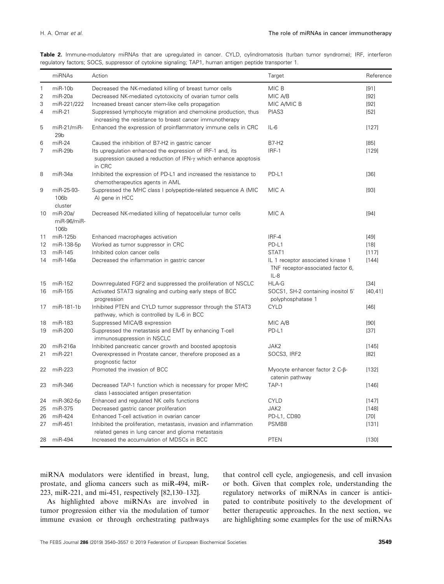|                | miRNAs                            | Action                                                                                                                                          | Target                                                                           | Reference |
|----------------|-----------------------------------|-------------------------------------------------------------------------------------------------------------------------------------------------|----------------------------------------------------------------------------------|-----------|
| $\mathbf{1}$   | $miR-10b$                         | Decreased the NK-mediated killing of breast tumor cells                                                                                         | MIC B                                                                            | $[91]$    |
| $\overline{2}$ | $miR-20a$                         | Decreased NK-mediated cytotoxicity of ovarian tumor cells                                                                                       | MIC A/B                                                                          | [92]      |
| 3              | miR-221/222                       | Increased breast cancer stem-like cells propagation                                                                                             | MIC A/MIC B                                                                      | [92]      |
| 4              | $miR-21$                          | Suppressed lymphocyte migration and chemokine production, thus<br>increasing the resistance to breast cancer immunotherapy                      | PIAS <sub>3</sub>                                                                | [52]      |
| 5              | $miR-21/miR-$<br>29 <sub>b</sub>  | Enhanced the expression of proinflammatory immune cells in CRC                                                                                  | $IL-6$                                                                           | [127]     |
| 6              | $miR-24$                          | Caused the inhibition of B7-H2 in gastric cancer                                                                                                | <b>B7-H2</b>                                                                     | [85]      |
| 7              | $miR-29b$                         | Its upregulation enhanced the expression of IRF-1 and, its<br>suppression caused a reduction of IFN- $\gamma$ which enhance apoptosis<br>in CRC | $IRF-1$                                                                          | [129]     |
| 8              | miR-34a                           | Inhibited the expression of PD-L1 and increased the resistance to<br>chemotherapeutics agents in AML                                            | PD-L1                                                                            | [36]      |
| 9              | miR-25-93-<br>106b<br>cluster     | Suppressed the MHC class I polypeptide-related sequence A (MIC<br>A) gene in HCC                                                                | MIC A                                                                            | [93]      |
| 10             | $miR-20a/$<br>miR-96/miR-<br>106b | Decreased NK-mediated killing of hepatocellular tumor cells                                                                                     | MIC A                                                                            | [94]      |
| 11             | miR-125b                          | Enhanced macrophages activation                                                                                                                 | IRF-4                                                                            | $[49]$    |
| 12             | miR-138-5p                        | Worked as tumor suppressor in CRC                                                                                                               | PD-L1                                                                            | $[18]$    |
| 13             | miR-145                           | Inhibited colon cancer cells                                                                                                                    | STAT1                                                                            | [117]     |
| 14             | miR-146a                          | Decreased the inflammation in gastric cancer                                                                                                    | IL 1 receptor associated kinase 1<br>TNF receptor-associated factor 6,<br>$IL-8$ | [144]     |
| 15             | miR-152                           | Downregulated FGF2 and suppressed the proliferation of NSCLC                                                                                    | <b>HLA-G</b>                                                                     | [34]      |
| 16             | miR-155                           | Activated STAT3 signaling and curbing early steps of BCC<br>progression                                                                         | SOCS1, SH-2 containing inositol 5'<br>polyphosphatase 1                          | [40, 41]  |
| 17             | miR-181-1b                        | Inhibited PTEN and CYLD tumor suppressor through the STAT3<br>pathway, which is controlled by IL-6 in BCC                                       | <b>CYLD</b>                                                                      | $[46]$    |
| 18             | miR-183                           | Suppressed MICA/B expression                                                                                                                    | MIC A/B                                                                          | [90]      |
| 19             | miR-200                           | Suppressed the metastasis and EMT by enhancing T-cell<br>immunosuppression in NSCLC                                                             | PD-L1                                                                            | $[37]$    |
| 20             | miR-216a                          | Inhibited pancreatic cancer growth and boosted apoptosis                                                                                        | JAK2                                                                             | [145]     |
| 21             | miR-221                           | Overexpressed in Prostate cancer, therefore proposed as a<br>prognostic factor                                                                  | SOCS3, IRF2                                                                      | [82]      |
| 22             | miR-223                           | Promoted the invasion of BCC                                                                                                                    | Myocyte enhancer factor $2$ C- $\beta$ -<br>catenin pathway                      | [132]     |
| 23             | miR-346                           | Decreased TAP-1 function which is necessary for proper MHC<br>class I-associated antigen presentation                                           | TAP-1                                                                            | [146]     |
| 24             | miR-362-5p                        | Enhanced and regulated NK cells functions                                                                                                       | <b>CYLD</b>                                                                      | [147]     |
| 25             | miR-375                           | Decreased gastric cancer proliferation                                                                                                          | JAK2                                                                             | [148]     |
| 26             | miR-424                           | Enhanced T-cell activation in ovarian cancer                                                                                                    | PD-L1, CD80                                                                      | $[70]$    |
| 27             | miR-451                           | Inhibited the proliferation, metastasis, invasion and inflammation<br>related genes in lung cancer and glioma metastasis                        | PSMB8                                                                            | [131]     |
|                | 28 miR-494                        | Increased the accumulation of MDSCs in BCC                                                                                                      | <b>PTEN</b>                                                                      | [130]     |

Table 2. Immune-modulatory miRNAs that are upregulated in cancer. CYLD, cylindromatosis (turban tumor syndrome); IRF, interferon regulatory factors; SOCS, suppressor of cytokine signaling; TAP1, human antigen peptide transporter 1.

miRNA modulators were identified in breast, lung, prostate, and glioma cancers such as miR-494, miR-223, miR-221, and mi-451, respectively [82,130–132].

As highlighted above miRNAs are involved in tumor progression either via the modulation of tumor immune evasion or through orchestrating pathways that control cell cycle, angiogenesis, and cell invasion or both. Given that complex role, understanding the regulatory networks of miRNAs in cancer is anticipated to contribute positively to the development of better therapeutic approaches. In the next section, we are highlighting some examples for the use of miRNAs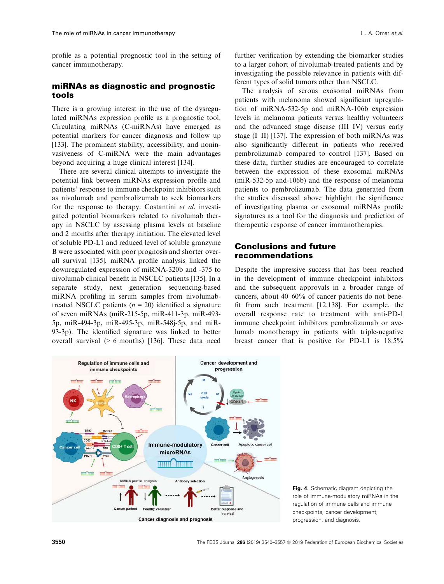profile as a potential prognostic tool in the setting of cancer immunotherapy.

## miRNAs as diagnostic and prognostic tools

There is a growing interest in the use of the dysregulated miRNAs expression profile as a prognostic tool. Circulating miRNAs (C-miRNAs) have emerged as potential markers for cancer diagnosis and follow up [133]. The prominent stability, accessibility, and noninvasiveness of C-miRNA were the main advantages beyond acquiring a huge clinical interest [134].

There are several clinical attempts to investigate the potential link between miRNAs expression profile and patients' response to immune checkpoint inhibitors such as nivolumab and pembrolizumab to seek biomarkers for the response to therapy. Costantini et al. investigated potential biomarkers related to nivolumab therapy in NSCLC by assessing plasma levels at baseline and 2 months after therapy initiation. The elevated level of soluble PD-L1 and reduced level of soluble granzyme B were associated with poor prognosis and shorter overall survival [135]. miRNA profile analysis linked the downregulated expression of miRNA-320b and -375 to nivolumab clinical benefit in NSCLC patients [135]. In a separate study, next generation sequencing-based miRNA profiling in serum samples from nivolumabtreated NSCLC patients  $(n = 20)$  identified a signature of seven miRNAs (miR-215-5p, miR-411-3p, miR-493- 5p, miR-494-3p, miR-495-3p, miR-548j-5p, and miR-93-3p). The identified signature was linked to better overall survival (> 6 months) [136]. These data need

further verification by extending the biomarker studies to a larger cohort of nivolumab-treated patients and by investigating the possible relevance in patients with different types of solid tumors other than NSCLC.

The analysis of serous exosomal miRNAs from patients with melanoma showed significant upregulation of miRNA-532-5p and miRNA-106b expression levels in melanoma patients versus healthy volunteers and the advanced stage disease (III–IV) versus early stage (I–II) [137]. The expression of both miRNAs was also significantly different in patients who received pembrolizumab compared to control [137]. Based on these data, further studies are encouraged to correlate between the expression of these exosomal miRNAs (miR-532-5p and-106b) and the response of melanoma patients to pembrolizumab. The data generated from the studies discussed above highlight the significance of investigating plasma or exosomal miRNAs profile signatures as a tool for the diagnosis and prediction of therapeutic response of cancer immunotherapies.

# Conclusions and future recommendations

Despite the impressive success that has been reached in the development of immune checkpoint inhibitors and the subsequent approvals in a broader range of cancers, about 40–60% of cancer patients do not benefit from such treatment [12,138]. For example, the overall response rate to treatment with anti-PD-1 immune checkpoint inhibitors pembrolizumab or avelumab monotherapy in patients with triple-negative breast cancer that is positive for PD-L1 is 18.5%



Fig. 4. Schematic diagram depicting the role of immune-modulatory miRNAs in the regulation of immune cells and immune checkpoints, cancer development, progression, and diagnosis.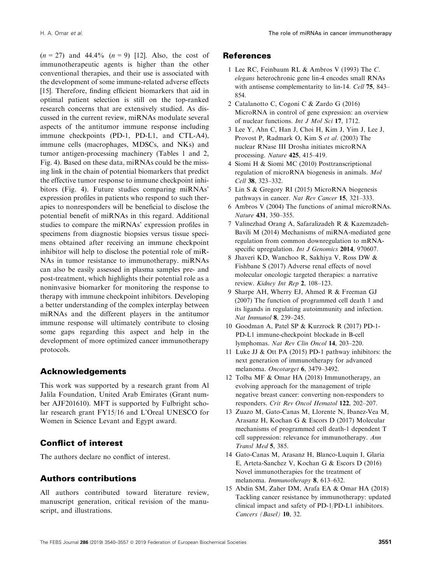$(n = 27)$  and 44.4%  $(n = 9)$  [12]. Also, the cost of immunotherapeutic agents is higher than the other conventional therapies, and their use is associated with the development of some immune-related adverse effects [15]. Therefore, finding efficient biomarkers that aid in optimal patient selection is still on the top-ranked research concerns that are extensively studied. As discussed in the current review, miRNAs modulate several aspects of the antitumor immune response including immune checkpoints (PD-1, PD-L1, and CTL-A4), immune cells (macrophages, MDSCs, and NKs) and tumor antigen-processing machinery (Tables 1 and 2, Fig. 4). Based on these data, miRNAs could be the missing link in the chain of potential biomarkers that predict the effective tumor response to immune checkpoint inhibitors (Fig. 4). Future studies comparing miRNAs' expression profiles in patients who respond to such therapies to nonresponders will be beneficial to disclose the potential benefit of miRNAs in this regard. Additional studies to compare the miRNAs' expression profiles in specimens from diagnostic biopsies versus tissue specimens obtained after receiving an immune checkpoint inhibitor will help to disclose the potential role of miR-NAs in tumor resistance to immunotherapy. miRNAs can also be easily assessed in plasma samples pre- and post-treatment, which highlights their potential role as a noninvasive biomarker for monitoring the response to therapy with immune checkpoint inhibitors. Developing a better understanding of the complex interplay between miRNAs and the different players in the antitumor immune response will ultimately contribute to closing some gaps regarding this aspect and help in the development of more optimized cancer immunotherapy protocols.

# Acknowledgements

This work was supported by a research grant from Al Jalila Foundation, United Arab Emirates (Grant number AJF201610). MFT is supported by Fulbright scholar research grant FY15/16 and L'Oreal UNESCO for Women in Science Levant and Egypt award.

# Conflict of interest

The authors declare no conflict of interest.

# Authors contributions

All authors contributed toward literature review, manuscript generation, critical revision of the manuscript, and illustrations.

#### References

- 1 Lee RC, Feinbaum RL & Ambros V (1993) The C. elegans heterochronic gene lin-4 encodes small RNAs with antisense complementarity to lin-14. Cell 75, 843– 854.
- 2 Catalanotto C, Cogoni C & Zardo G (2016) MicroRNA in control of gene expression: an overview of nuclear functions. Int J Mol Sci 17, 1712.
- 3 Lee Y, Ahn C, Han J, Choi H, Kim J, Yim J, Lee J, Provost P, Radmark O, Kim S et al. (2003) The nuclear RNase III Drosha initiates microRNA processing. Nature 425, 415–419.
- 4 Siomi H & Siomi MC (2010) Posttranscriptional regulation of microRNA biogenesis in animals. Mol Cell 38, 323–332.
- 5 Lin S & Gregory RI (2015) MicroRNA biogenesis pathways in cancer. Nat Rev Cancer 15, 321-333.
- 6 Ambros V (2004) The functions of animal microRNAs. Nature 431, 350–355.
- 7 Valinezhad Orang A, Safaralizadeh R & Kazemzadeh-Bavili M (2014) Mechanisms of miRNA-mediated gene regulation from common downregulation to mRNAspecific upregulation. *Int J Genomics* 2014, 970607.
- 8 Jhaveri KD, Wanchoo R, Sakhiya V, Ross DW & Fishbane S (2017) Adverse renal effects of novel molecular oncologic targeted therapies: a narrative review. Kidney Int Rep 2, 108–123.
- 9 Sharpe AH, Wherry EJ, Ahmed R & Freeman GJ (2007) The function of programmed cell death 1 and its ligands in regulating autoimmunity and infection. Nat Immunol 8, 239–245.
- 10 Goodman A, Patel SP & Kurzrock R (2017) PD-1- PD-L1 immune-checkpoint blockade in B-cell lymphomas. Nat Rev Clin Oncol 14, 203–220.
- 11 Luke JJ & Ott PA (2015) PD-1 pathway inhibitors: the next generation of immunotherapy for advanced melanoma. Oncotarget 6, 3479–3492.
- 12 Tolba MF & Omar HA (2018) Immunotherapy, an evolving approach for the management of triple negative breast cancer: converting non-responders to responders. Crit Rev Oncol Hematol 122, 202–207.
- 13 Zuazo M, Gato-Canas M, Llorente N, Ibanez-Vea M, Arasanz H, Kochan G & Escors D (2017) Molecular mechanisms of programmed cell death-1 dependent T cell suppression: relevance for immunotherapy. Ann Transl Med 5, 385.
- 14 Gato-Canas M, Arasanz H, Blanco-Luquin I, Glaria E, Arteta-Sanchez V, Kochan G & Escors D (2016) Novel immunotherapies for the treatment of melanoma. Immunotherapy 8, 613–632.
- 15 Abdin SM, Zaher DM, Arafa EA & Omar HA (2018) Tackling cancer resistance by immunotherapy: updated clinical impact and safety of PD-1/PD-L1 inhibitors. Cancers (Basel) 10, 32.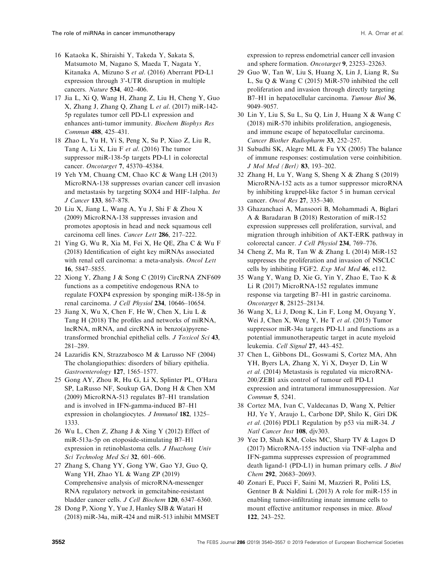- 16 Kataoka K, Shiraishi Y, Takeda Y, Sakata S, Matsumoto M, Nagano S, Maeda T, Nagata Y, Kitanaka A, Mizuno S et al. (2016) Aberrant PD-L1 expression through 3'-UTR disruption in multiple cancers. Nature 534, 402–406.
- 17 Jia L, Xi Q, Wang H, Zhang Z, Liu H, Cheng Y, Guo X, Zhang J, Zhang Q, Zhang L et al. (2017) miR-142- 5p regulates tumor cell PD-L1 expression and enhances anti-tumor immunity. Biochem Biophys Res Commun 488, 425–431.
- 18 Zhao L, Yu H, Yi S, Peng X, Su P, Xiao Z, Liu R, Tang A, Li X, Liu F et al. (2016) The tumor suppressor miR-138-5p targets PD-L1 in colorectal cancer. Oncotarget 7, 45370–45384.
- 19 Yeh YM, Chuang CM, Chao KC & Wang LH (2013) MicroRNA-138 suppresses ovarian cancer cell invasion and metastasis by targeting SOX4 and HIF-1alpha. Int J Cancer 133, 867–878.
- 20 Liu X, Jiang L, Wang A, Yu J, Shi F & Zhou X (2009) MicroRNA-138 suppresses invasion and promotes apoptosis in head and neck squamous cell carcinoma cell lines. Cancer Lett 286, 217–222.
- 21 Ying G, Wu R, Xia M, Fei X, He QE, Zha C & Wu F (2018) Identification of eight key miRNAs associated with renal cell carcinoma: a meta-analysis. Oncol Lett 16, 5847–5855.
- 22 Xiong Y, Zhang J & Song C (2019) CircRNA ZNF609 functions as a competitive endogenous RNA to regulate FOXP4 expression by sponging miR-138-5p in renal carcinoma. J Cell Physiol 234, 10646–10654.
- 23 Jiang X, Wu X, Chen F, He W, Chen X, Liu L & Tang H (2018) The profiles and networks of miRNA, lncRNA, mRNA, and circRNA in benzo(a)pyrenetransformed bronchial epithelial cells. J Toxicol Sci 43, 281–289.
- 24 Lazaridis KN, Strazzabosco M & Larusso NF (2004) The cholangiopathies: disorders of biliary epithelia. Gastroenterology 127, 1565–1577.
- 25 Gong AY, Zhou R, Hu G, Li X, Splinter PL, O'Hara SP, LaRusso NF, Soukup GA, Dong H & Chen XM (2009) MicroRNA-513 regulates B7–H1 translation and is involved in IFN-gamma-induced B7–H1 expression in cholangiocytes. *J Immunol* 182, 1325– 1333.
- 26 Wu L, Chen Z, Zhang J & Xing Y (2012) Effect of miR-513a-5p on etoposide-stimulating B7–H1 expression in retinoblastoma cells. J Huazhong Univ Sci Technolog Med Sci 32, 601–606.
- 27 Zhang S, Chang YY, Gong YW, Gao YJ, Guo Q, Wang YH, Zhao YL & Wang ZP (2019) Comprehensive analysis of microRNA-messenger RNA regulatory network in gemcitabine-resistant bladder cancer cells. J Cell Biochem 120, 6347–6360.
- 28 Dong P, Xiong Y, Yue J, Hanley SJB & Watari H (2018) miR-34a, miR-424 and miR-513 inhibit MMSET

expression to repress endometrial cancer cell invasion and sphere formation. Oncotarget 9, 23253–23263.

- 29 Guo W, Tan W, Liu S, Huang X, Lin J, Liang R, Su L, Su Q & Wang C (2015) MiR-570 inhibited the cell proliferation and invasion through directly targeting B7–H1 in hepatocellular carcinoma. Tumour Biol 36, 9049–9057.
- 30 Lin Y, Liu S, Su L, Su Q, Lin J, Huang X & Wang C (2018) miR-570 inhibits proliferation, angiogenesis, and immune escape of hepatocellular carcinoma. Cancer Biother Radiopharm 33, 252–257.
- 31 Subudhi SK, Alegre ML & Fu YX (2005) The balance of immune responses: costimulation verse coinhibition. J Mol Med (Berl) 83, 193–202.
- 32 Zhang H, Lu Y, Wang S, Sheng X & Zhang S (2019) MicroRNA-152 acts as a tumor suppressor microRNA by inhibiting kruppel-like factor 5 in human cervical cancer. Oncol Res 27, 335–340.
- 33 Ghazanchaei A, Mansoori B, Mohammadi A, Biglari A & Baradaran B (2018) Restoration of miR-152 expression suppresses cell proliferation, survival, and migration through inhibition of AKT-ERK pathway in colorectal cancer. J Cell Physiol 234, 769–776.
- 34 Cheng Z, Ma R, Tan W & Zhang L (2014) MiR-152 suppresses the proliferation and invasion of NSCLC cells by inhibiting FGF2. Exp Mol Med 46, e112.
- 35 Wang Y, Wang D, Xie G, Yin Y, Zhao E, Tao K & Li R (2017) MicroRNA-152 regulates immune response via targeting B7–H1 in gastric carcinoma. Oncotarget 8, 28125–28134.
- 36 Wang X, Li J, Dong K, Lin F, Long M, Ouyang Y, Wei J, Chen X, Weng Y, He T et al. (2015) Tumor suppressor miR-34a targets PD-L1 and functions as a potential immunotherapeutic target in acute myeloid leukemia. Cell Signal 27, 443–452.
- 37 Chen L, Gibbons DL, Goswami S, Cortez MA, Ahn YH, Byers LA, Zhang X, Yi X, Dwyer D, Lin W et al. (2014) Metastasis is regulated via microRNA-200/ZEB1 axis control of tumour cell PD-L1 expression and intratumoral immunosuppression. Nat Commun 5, 5241.
- 38 Cortez MA, Ivan C, Valdecanas D, Wang X, Peltier HJ, Ye Y, Araujo L, Carbone DP, Shilo K, Giri DK et al. (2016) PDL1 Regulation by p53 via miR-34. J Natl Cancer Inst 108, djv303.
- 39 Yee D, Shah KM, Coles MC, Sharp TV & Lagos D (2017) MicroRNA-155 induction via TNF-alpha and IFN-gamma suppresses expression of programmed death ligand-1 (PD-L1) in human primary cells. J Biol Chem 292, 20683–20693.
- 40 Zonari E, Pucci F, Saini M, Mazzieri R, Politi LS, Gentner B & Naldini L (2013) A role for miR-155 in enabling tumor-infiltrating innate immune cells to mount effective antitumor responses in mice. Blood 122, 243–252.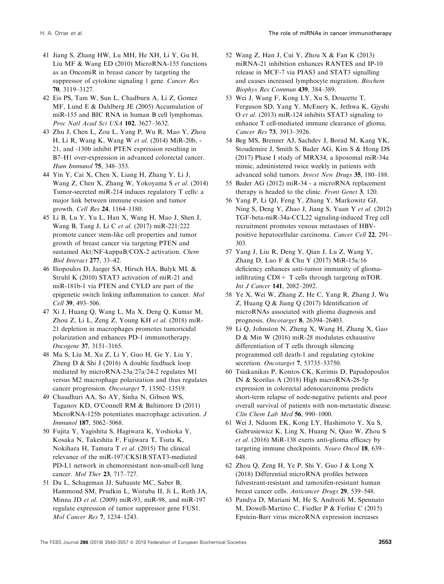- 41 Jiang S, Zhang HW, Lu MH, He XH, Li Y, Gu H, Liu MF & Wang ED (2010) MicroRNA-155 functions as an OncomiR in breast cancer by targeting the suppressor of cytokine signaling 1 gene. Cancer Res 70, 3119–3127.
- 42 Eis PS, Tam W, Sun L, Chadburn A, Li Z, Gomez MF, Lund E & Dahlberg JE (2005) Accumulation of miR-155 and BIC RNA in human B cell lymphomas. Proc Natl Acad Sci USA 102, 3627–3632.
- 43 Zhu J, Chen L, Zou L, Yang P, Wu R, Mao Y, Zhou H, Li R, Wang K, Wang W et al. (2014) MiR-20b, - 21, and -130b inhibit PTEN expression resulting in B7–H1 over-expression in advanced colorectal cancer. Hum Immunol 75, 348–353.
- 44 Yin Y, Cai X, Chen X, Liang H, Zhang Y, Li J, Wang Z, Chen X, Zhang W, Yokoyama S et al. (2014) Tumor-secreted miR-214 induces regulatory T cells: a major link between immune evasion and tumor growth. Cell Res 24, 1164–1180.
- 45 Li B, Lu Y, Yu L, Han X, Wang H, Mao J, Shen J, Wang B, Tang J, Li C et al. (2017) miR-221/222 promote cancer stem-like cell properties and tumor growth of breast cancer via targeting PTEN and sustained Akt/NF-kappaB/COX-2 activation. Chem Biol Interact 277, 33–42.
- 46 Iliopoulos D, Jaeger SA, Hirsch HA, Bulyk ML & Struhl K (2010) STAT3 activation of miR-21 and miR-181b-1 via PTEN and CYLD are part of the epigenetic switch linking inflammation to cancer. Mol Cell 39, 493-506.
- 47 Xi J, Huang Q, Wang L, Ma X, Deng Q, Kumar M, Zhou Z, Li L, Zeng Z, Young KH et al. (2018) miR-21 depletion in macrophages promotes tumoricidal polarization and enhances PD-1 immunotherapy. Oncogene 37, 3151–3165.
- 48 Ma S, Liu M, Xu Z, Li Y, Guo H, Ge Y, Liu Y, Zheng D & Shi J (2016) A double feedback loop mediated by microRNA-23a/27a/24-2 regulates M1 versus M2 macrophage polarization and thus regulates cancer progression. Oncotarget 7, 13502–13519.
- 49 Chaudhuri AA, So AY, Sinha N, Gibson WS, Taganov KD, O'Connell RM & Baltimore D (2011) MicroRNA-125b potentiates macrophage activation. *J* Immunol 187, 5062–5068.
- 50 Fujita Y, Yagishita S, Hagiwara K, Yoshioka Y, Kosaka N, Takeshita F, Fujiwara T, Tsuta K, Nokihara H, Tamura T et al. (2015) The clinical relevance of the miR-197/CKS1B/STAT3-mediated PD-L1 network in chemoresistant non-small-cell lung cancer. Mol Ther 23, 717–727.
- 51 Du L, Schageman JJ, Subauste MC, Saber B, Hammond SM, Prudkin L, Wistuba II, Ji L, Roth JA, Minna JD et al. (2009) miR-93, miR-98, and miR-197 regulate expression of tumor suppressor gene FUS1. Mol Cancer Res 7, 1234–1243.
- 52 Wang Z, Han J, Cui Y, Zhou X & Fan K (2013) miRNA-21 inhibition enhances RANTES and IP-10 release in MCF-7 via PIAS3 and STAT3 signalling and causes increased lymphocyte migration. Biochem Biophys Res Commun 439, 384–389.
- 53 Wei J, Wang F, Kong LY, Xu S, Doucette T, Ferguson SD, Yang Y, McEnery K, Jethwa K, Gjyshi O et al. (2013) miR-124 inhibits STAT3 signaling to enhance T cell-mediated immune clearance of glioma. Cancer Res 73, 3913–3926.
- 54 Beg MS, Brenner AJ, Sachdev J, Borad M, Kang YK, Stoudemire J, Smith S, Bader AG, Kim S & Hong DS (2017) Phase I study of MRX34, a liposomal miR-34a mimic, administered twice weekly in patients with advanced solid tumors. Invest New Drugs 35, 180–188.
- 55 Bader AG (2012) miR-34 a microRNA replacement therapy is headed to the clinic. Front Genet 3, 120.
- 56 Yang P, Li QJ, Feng Y, Zhang Y, Markowitz GJ, Ning S, Deng Y, Zhao J, Jiang S, Yuan Y et al. (2012) TGF-beta-miR-34a-CCL22 signaling-induced Treg cell recruitment promotes venous metastases of HBVpositive hepatocellular carcinoma. Cancer Cell 22, 291– 303.
- 57 Yang J, Liu R, Deng Y, Qian J, Lu Z, Wang Y, Zhang D, Luo F & Chu Y (2017) MiR-15a/16 deficiency enhances anti-tumor immunity of gliomainfiltrating  $CD8+T$  cells through targeting mTOR. Int J Cancer 141, 2082–2092.
- 58 Ye X, Wei W, Zhang Z, He C, Yang R, Zhang J, Wu Z, Huang Q & Jiang Q (2017) Identification of microRNAs associated with glioma diagnosis and prognosis. Oncotarget 8, 26394–26403.
- 59 Li Q, Johnston N, Zheng X, Wang H, Zhang X, Gao D & Min W (2016) miR-28 modulates exhaustive differentiation of T cells through silencing programmed cell death-1 and regulating cytokine secretion. Oncotarget **7**, 53735-53750.
- 60 Tsiakanikas P, Kontos CK, Kerimis D, Papadopoulos IN & Scorilas A (2018) High microRNA-28-5p expression in colorectal adenocarcinoma predicts short-term relapse of node-negative patients and poor overall survival of patients with non-metastatic disease. Clin Chem Lab Med 56, 990–1000.
- 61 Wei J, Nduom EK, Kong LY, Hashimoto Y, Xu S, Gabrusiewicz K, Ling X, Huang N, Qiao W, Zhou S et al. (2016) MiR-138 exerts anti-glioma efficacy by targeting immune checkpoints. Neuro Oncol 18, 639– 648.
- 62 Zhou Q, Zeng H, Ye P, Shi Y, Guo J & Long X (2018) Differential microRNA profiles between fulvestrant-resistant and tamoxifen-resistant human breast cancer cells. Anticancer Drugs 29, 539–548.
- 63 Pandya D, Mariani M, He S, Andreoli M, Spennato M, Dowell-Martino C, Fiedler P & Ferlini C (2015) Epstein-Barr virus microRNA expression increases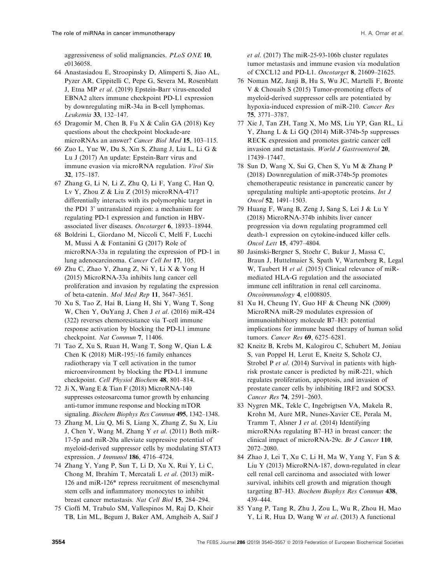aggressiveness of solid malignancies. PLoS ONE 10, e0136058.

- 64 Anastasiadou E, Stroopinsky D, Alimperti S, Jiao AL, Pyzer AR, Cippitelli C, Pepe G, Severa M, Rosenblatt J, Etna MP et al. (2019) Epstein-Barr virus-encoded EBNA2 alters immune checkpoint PD-L1 expression by downregulating miR-34a in B-cell lymphomas. Leukemia 33, 132–147.
- 65 Dragomir M, Chen B, Fu X & Calin GA (2018) Key questions about the checkpoint blockade-are microRNAs an answer? Cancer Biol Med 15, 103–115.
- 66 Zuo L, Yue W, Du S, Xin S, Zhang J, Liu L, Li G & Lu J (2017) An update: Epstein-Barr virus and immune evasion via microRNA regulation. Virol Sin 32, 175–187.
- 67 Zhang G, Li N, Li Z, Zhu Q, Li F, Yang C, Han Q, Lv Y, Zhou Z & Liu Z (2015) microRNA-4717 differentially interacts with its polymorphic target in the PD1 3' untranslated region: a mechanism for regulating PD-1 expression and function in HBVassociated liver diseases. Oncotarget 6, 18933–18944.
- 68 Boldrini L, Giordano M, Niccoli C, Melfi F, Lucchi M, Mussi A & Fontanini G (2017) Role of microRNA-33a in regulating the expression of PD-1 in lung adenocarcinoma. Cancer Cell Int 17, 105.
- 69 Zhu C, Zhao Y, Zhang Z, Ni Y, Li X & Yong H (2015) MicroRNA-33a inhibits lung cancer cell proliferation and invasion by regulating the expression of beta-catenin. Mol Med Rep 11, 3647–3651.
- 70 Xu S, Tao Z, Hai B, Liang H, Shi Y, Wang T, Song W, Chen Y, OuYang J, Chen J et al. (2016) miR-424 (322) reverses chemoresistance via T-cell immune response activation by blocking the PD-L1 immune checkpoint. Nat Commun 7, 11406.
- 71 Tao Z, Xu S, Ruan H, Wang T, Song W, Qian L & Chen K (2018) MiR-195/-16 family enhances radiotherapy via T cell activation in the tumor microenvironment by blocking the PD-L1 immune checkpoint. Cell Physiol Biochem 48, 801–814.
- 72 Ji X, Wang E & Tian F (2018) MicroRNA-140 suppresses osteosarcoma tumor growth by enhancing anti-tumor immune response and blocking mTOR signaling. Biochem Biophys Res Commun 495, 1342–1348.
- 73 Zhang M, Liu Q, Mi S, Liang X, Zhang Z, Su X, Liu J, Chen Y, Wang M, Zhang Y et al. (2011) Both miR-17-5p and miR-20a alleviate suppressive potential of myeloid-derived suppressor cells by modulating STAT3 expression. J Immunol 186, 4716–4724.
- 74 Zhang Y, Yang P, Sun T, Li D, Xu X, Rui Y, Li C, Chong M, Ibrahim T, Mercatali L et al. (2013) miR-126 and miR-126\* repress recruitment of mesenchymal stem cells and inflammatory monocytes to inhibit breast cancer metastasis. Nat Cell Biol 15, 284–294.
- 75 Cioffi M, Trabulo SM, Vallespinos M, Raj D, Kheir TB, Lin ML, Begum J, Baker AM, Amgheib A, Saif J

et al. (2017) The miR-25-93-106b cluster regulates tumor metastasis and immune evasion via modulation of CXCL12 and PD-L1. Oncotarget 8, 21609–21625.

- 76 Noman MZ, Janji B, Hu S, Wu JC, Martelli F, Bronte V & Chouaib S (2015) Tumor-promoting effects of myeloid-derived suppressor cells are potentiated by hypoxia-induced expression of miR-210. Cancer Res 75, 3771–3787.
- 77 Xie J, Tan ZH, Tang X, Mo MS, Liu YP, Gan RL, Li Y, Zhang L & Li GQ (2014) MiR-374b-5p suppresses RECK expression and promotes gastric cancer cell invasion and metastasis. World J Gastroenterol 20, 17439–17447.
- 78 Sun D, Wang X, Sui G, Chen S, Yu M & Zhang P (2018) Downregulation of miR-374b-5p promotes chemotherapeutic resistance in pancreatic cancer by upregulating multiple anti-apoptotic proteins. Int J Oncol 52, 1491–1503.
- 79 Huang F, Wang B, Zeng J, Sang S, Lei J & Lu Y (2018) MicroRNA-374b inhibits liver cancer progression via down regulating programmed cell death-1 expression on cytokine-induced killer cells. Oncol Lett 15, 4797–4804.
- 80 Jasinski-Bergner S, Stoehr C, Bukur J, Massa C, Braun J, Huttelmaier S, Spath V, Wartenberg R, Legal W, Taubert H et al. (2015) Clinical relevance of miRmediated HLA-G regulation and the associated immune cell infiltration in renal cell carcinoma. Oncoimmunology 4, e1008805.
- 81 Xu H, Cheung IY, Guo HF & Cheung NK (2009) MicroRNA miR-29 modulates expression of immunoinhibitory molecule B7–H3: potential implications for immune based therapy of human solid tumors. Cancer Res 69, 6275–6281.
- 82 Kneitz B, Krebs M, Kalogirou C, Schubert M, Joniau S, van Poppel H, Lerut E, Kneitz S, Scholz CJ, Strobel P et al. (2014) Survival in patients with highrisk prostate cancer is predicted by miR-221, which regulates proliferation, apoptosis, and invasion of prostate cancer cells by inhibiting IRF2 and SOCS3. Cancer Res 74, 2591–2603.
- 83 Nygren MK, Tekle C, Ingebrigtsen VA, Makela R, Krohn M, Aure MR, Nunes-Xavier CE, Perala M, Tramm T, Alsner J et al. (2014) Identifying microRNAs regulating B7–H3 in breast cancer: the clinical impact of microRNA-29c. Br J Cancer 110, 2072–2080.
- 84 Zhao J, Lei T, Xu C, Li H, Ma W, Yang Y, Fan S & Liu Y (2013) MicroRNA-187, down-regulated in clear cell renal cell carcinoma and associated with lower survival, inhibits cell growth and migration though targeting B7–H3. Biochem Biophys Res Commun 438, 439–444.
- 85 Yang P, Tang R, Zhu J, Zou L, Wu R, Zhou H, Mao Y, Li R, Hua D, Wang W et al. (2013) A functional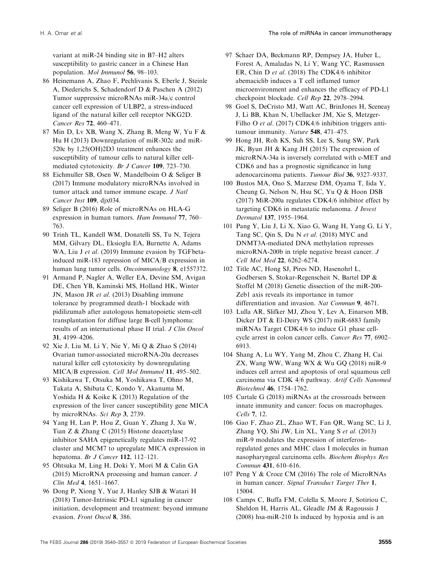variant at miR-24 binding site in B7–H2 alters susceptibility to gastric cancer in a Chinese Han population. Mol Immunol 56, 98–103.

- 86 Heinemann A, Zhao F, Pechlivanis S, Eberle J, Steinle A, Diederichs S, Schadendorf D & Paschen A (2012) Tumor suppressive microRNAs miR-34a/c control cancer cell expression of ULBP2, a stress-induced ligand of the natural killer cell receptor NKG2D. Cancer Res 72, 460–471.
- 87 Min D, Lv XB, Wang X, Zhang B, Meng W, Yu F & Hu H (2013) Downregulation of miR-302c and miR-520c by 1,25(OH)2D3 treatment enhances the susceptibility of tumour cells to natural killer cellmediated cytotoxicity. Br J Cancer 109, 723–730.
- 88 Eichmuller SB, Osen W, Mandelboim O & Seliger B (2017) Immune modulatory microRNAs involved in tumor attack and tumor immune escape. *J Natl* Cancer Inst 109, djx034.
- 89 Seliger B (2016) Role of microRNAs on HLA-G expression in human tumors. Hum Immunol 77, 760– 763.
- 90 Trinh TL, Kandell WM, Donatelli SS, Tu N, Tejera MM, Gilvary DL, Eksioglu EA, Burnette A, Adams WA, Liu J et al. (2019) Immune evasion by TGFbetainduced miR-183 repression of MICA/B expression in human lung tumor cells. Oncoimmunology 8, e1557372.
- 91 Armand P, Nagler A, Weller EA, Devine SM, Avigan DE, Chen YB, Kaminski MS, Holland HK, Winter JN, Mason JR et al. (2013) Disabling immune tolerance by programmed death-1 blockade with pidilizumab after autologous hematopoietic stem-cell transplantation for diffuse large B-cell lymphoma: results of an international phase II trial. J Clin Oncol 31, 4199–4206.
- 92 Xie J, Liu M, Li Y, Nie Y, Mi Q & Zhao S (2014) Ovarian tumor-associated microRNA-20a decreases natural killer cell cytotoxicity by downregulating MICA/B expression. Cell Mol Immunol 11, 495–502.
- 93 Kishikawa T, Otsuka M, Yoshikawa T, Ohno M, Takata A, Shibata C, Kondo Y, Akanuma M, Yoshida H & Koike K (2013) Regulation of the expression of the liver cancer susceptibility gene MICA by microRNAs. Sci Rep 3, 2739.
- 94 Yang H, Lan P, Hou Z, Guan Y, Zhang J, Xu W, Tian Z & Zhang C (2015) Histone deacetylase inhibitor SAHA epigenetically regulates miR-17-92 cluster and MCM7 to upregulate MICA expression in hepatoma. Br J Cancer 112, 112–121.
- 95 Ohtsuka M, Ling H, Doki Y, Mori M & Calin GA (2015) MicroRNA processing and human cancer. J Clin Med 4, 1651–1667.
- 96 Dong P, Xiong Y, Yue J, Hanley SJB & Watari H (2018) Tumor-Intrinsic PD-L1 signaling in cancer initiation, development and treatment: beyond immune evasion. Front Oncol 8, 386.
- 97 Schaer DA, Beckmann RP, Dempsey JA, Huber L, Forest A, Amaladas N, Li Y, Wang YC, Rasmussen ER, Chin D et al. (2018) The CDK4/6 inhibitor abemaciclib induces a T cell inflamed tumor microenvironment and enhances the efficacy of PD-L1 checkpoint blockade. Cell Rep 22, 2978–2994.
- 98 Goel S, DeCristo MJ, Watt AC, BrinJones H, Sceneay J, Li BB, Khan N, Ubellacker JM, Xie S, Metzger-Filho O et al. (2017) CDK4/6 inhibition triggers antitumour immunity. Nature 548, 471–475.
- 99 Hong JH, Roh KS, Suh SS, Lee S, Sung SW, Park JK, Byun JH & Kang JH (2015) The expression of microRNA-34a is inversely correlated with c-MET and CDK6 and has a prognostic significance in lung adenocarcinoma patients. Tumour Biol 36, 9327–9337.
- 100 Bustos MA, Ono S, Marzese DM, Oyama T, Iida Y, Cheung G, Nelson N, Hsu SC, Yu Q & Hoon DSB (2017) MiR-200a regulates CDK4/6 inhibitor effect by targeting CDK6 in metastatic melanoma. J Invest Dermatol 137, 1955–1964.
- 101 Pang Y, Liu J, Li X, Xiao G, Wang H, Yang G, Li Y, Tang SC, Qin S, Du N et al. (2018) MYC and DNMT3A-mediated DNA methylation represses microRNA-200b in triple negative breast cancer. J Cell Mol Med 22, 6262–6274.
- 102 Title AC, Hong SJ, Pires ND, Hasenohrl L, Godbersen S, Stokar-Regenscheit N, Bartel DP & Stoffel M (2018) Genetic dissection of the miR-200- Zeb1 axis reveals its importance in tumor differentiation and invasion. Nat Commun 9, 4671.
- 103 Lulla AR, Slifker MJ, Zhou Y, Lev A, Einarson MB, Dicker DT & El-Deiry WS (2017) miR-6883 family miRNAs Target CDK4/6 to induce G1 phase cellcycle arrest in colon cancer cells. Cancer Res 77, 6902– 6913.
- 104 Shang A, Lu WY, Yang M, Zhou C, Zhang H, Cai ZX, Wang WW, Wang WX & Wu GQ (2018) miR-9 induces cell arrest and apoptosis of oral squamous cell carcinoma via CDK 4/6 pathway. Artif Cells Nanomed Biotechnol 46, 1754–1762.
- 105 Curtale G (2018) miRNAs at the crossroads between innate immunity and cancer: focus on macrophages. Cells 7, 12.
- 106 Gao F, Zhao ZL, Zhao WT, Fan QR, Wang SC, Li J, Zhang YQ, Shi JW, Lin XL, Yang S et al. (2013) miR-9 modulates the expression of interferonregulated genes and MHC class I molecules in human nasopharyngeal carcinoma cells. Biochem Biophys Res Commun 431, 610–616.
- 107 Peng Y & Croce CM (2016) The role of MicroRNAs in human cancer. Signal Transduct Target Ther 1, 15004.
- 108 Camps C, Buffa FM, Colella S, Moore J, Sotiriou C, Sheldon H, Harris AL, Gleadle JM & Ragoussis J (2008) hsa-miR-210 Is induced by hypoxia and is an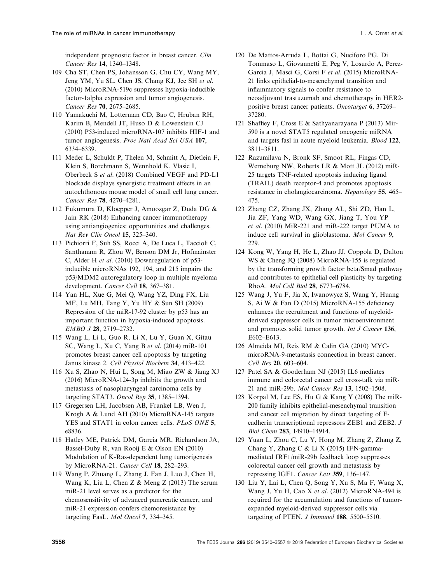independent prognostic factor in breast cancer. Clin Cancer Res 14, 1340–1348.

- 109 Cha ST, Chen PS, Johansson G, Chu CY, Wang MY, Jeng YM, Yu SL, Chen JS, Chang KJ, Jee SH et al. (2010) MicroRNA-519c suppresses hypoxia-inducible factor-1alpha expression and tumor angiogenesis. Cancer Res 70, 2675–2685.
- 110 Yamakuchi M, Lotterman CD, Bao C, Hruban RH, Karim B, Mendell JT, Huso D & Lowenstein CJ (2010) P53-induced microRNA-107 inhibits HIF-1 and tumor angiogenesis. Proc Natl Acad Sci USA 107, 6334–6339.
- 111 Meder L, Schuldt P, Thelen M, Schmitt A, Dietlein F, Klein S, Borchmann S, Wennhold K, Vlasic I, Oberbeck S et al. (2018) Combined VEGF and PD-L1 blockade displays synergistic treatment effects in an autochthonous mouse model of small cell lung cancer. Cancer Res 78, 4270–4281.
- 112 Fukumura D, Kloepper J, Amoozgar Z, Duda DG & Jain RK (2018) Enhancing cancer immunotherapy using antiangiogenics: opportunities and challenges. Nat Rev Clin Oncol 15, 325–340.
- 113 Pichiorri F, Suh SS, Rocci A, De Luca L, Taccioli C, Santhanam R, Zhou W, Benson DM Jr, Hofmainster C, Alder H et al. (2010) Downregulation of p53 inducible microRNAs 192, 194, and 215 impairs the p53/MDM2 autoregulatory loop in multiple myeloma development. Cancer Cell 18, 367–381.
- 114 Yan HL, Xue G, Mei Q, Wang YZ, Ding FX, Liu MF, Lu MH, Tang Y, Yu HY & Sun SH (2009) Repression of the miR-17-92 cluster by p53 has an important function in hypoxia-induced apoptosis. EMBO J 28, 2719–2732.
- 115 Wang L, Li L, Guo R, Li X, Lu Y, Guan X, Gitau SC, Wang L, Xu C, Yang B et al. (2014) miR-101 promotes breast cancer cell apoptosis by targeting Janus kinase 2. Cell Physiol Biochem 34, 413–422.
- 116 Xu S, Zhao N, Hui L, Song M, Miao ZW & Jiang XJ (2016) MicroRNA-124-3p inhibits the growth and metastasis of nasopharyngeal carcinoma cells by targeting STAT3. Oncol Rep 35, 1385–1394.
- 117 Gregersen LH, Jacobsen AB, Frankel LB, Wen J, Krogh A & Lund AH (2010) MicroRNA-145 targets YES and STAT1 in colon cancer cells. PLoS ONE 5, e8836.
- 118 Hatley ME, Patrick DM, Garcia MR, Richardson JA, Bassel-Duby R, van Rooij E & Olson EN (2010) Modulation of K-Ras-dependent lung tumorigenesis by MicroRNA-21. Cancer Cell 18, 282–293.
- 119 Wang P, Zhuang L, Zhang J, Fan J, Luo J, Chen H, Wang K, Liu L, Chen Z & Meng Z (2013) The serum miR-21 level serves as a predictor for the chemosensitivity of advanced pancreatic cancer, and miR-21 expression confers chemoresistance by targeting FasL. Mol Oncol 7, 334–345.
- 120 De Mattos-Arruda L, Bottai G, Nuciforo PG, Di Tommaso L, Giovannetti E, Peg V, Losurdo A, Perez-Garcia J, Masci G, Corsi F et al. (2015) MicroRNA-21 links epithelial-to-mesenchymal transition and inflammatory signals to confer resistance to neoadjuvant trastuzumab and chemotherapy in HER2 positive breast cancer patients. Oncotarget 6, 37269– 37280.
- 121 Shaffiey F, Cross E & Sathyanarayana P (2013) Mir-590 is a novel STAT5 regulated oncogenic miRNA and targets fasl in acute myeloid leukemia. Blood 122, 3811–3811.
- 122 Razumilava N, Bronk SF, Smoot RL, Fingas CD, Werneburg NW, Roberts LR & Mott JL (2012) miR-25 targets TNF-related apoptosis inducing ligand (TRAIL) death receptor-4 and promotes apoptosis resistance in cholangiocarcinoma. Hepatology 55, 465– 475.
- 123 Zhang CZ, Zhang JX, Zhang AL, Shi ZD, Han L, Jia ZF, Yang WD, Wang GX, Jiang T, You YP et al. (2010) MiR-221 and miR-222 target PUMA to induce cell survival in glioblastoma. Mol Cancer 9, 229.
- 124 Kong W, Yang H, He L, Zhao JJ, Coppola D, Dalton WS & Cheng JQ (2008) MicroRNA-155 is regulated by the transforming growth factor beta/Smad pathway and contributes to epithelial cell plasticity by targeting RhoA. Mol Cell Biol 28, 6773–6784.
- 125 Wang J, Yu F, Jia X, Iwanowycz S, Wang Y, Huang S, Ai W & Fan D (2015) MicroRNA-155 deficiency enhances the recruitment and functions of myeloidderived suppressor cells in tumor microenvironment and promotes solid tumor growth. Int J Cancer 136, E602–E613.
- 126 Almeida MI, Reis RM & Calin GA (2010) MYCmicroRNA-9-metastasis connection in breast cancer. Cell Res 20, 603–604.
- 127 Patel SA & Gooderham NJ (2015) IL6 mediates immune and colorectal cancer cell cross-talk via miR-21 and miR-29b. Mol Cancer Res 13, 1502–1508.
- 128 Korpal M, Lee ES, Hu G & Kang Y (2008) The miR-200 family inhibits epithelial-mesenchymal transition and cancer cell migration by direct targeting of Ecadherin transcriptional repressors ZEB1 and ZEB2. J Biol Chem 283, 14910–14914.
- 129 Yuan L, Zhou C, Lu Y, Hong M, Zhang Z, Zhang Z, Chang Y, Zhang C & Li X (2015) IFN-gammamediated IRF1/miR-29b feedback loop suppresses colorectal cancer cell growth and metastasis by repressing IGF1. Cancer Lett 359, 136–147.
- 130 Liu Y, Lai L, Chen Q, Song Y, Xu S, Ma F, Wang X, Wang J, Yu H, Cao X et al. (2012) MicroRNA-494 is required for the accumulation and functions of tumorexpanded myeloid-derived suppressor cells via targeting of PTEN. J Immunol 188, 5500-5510.